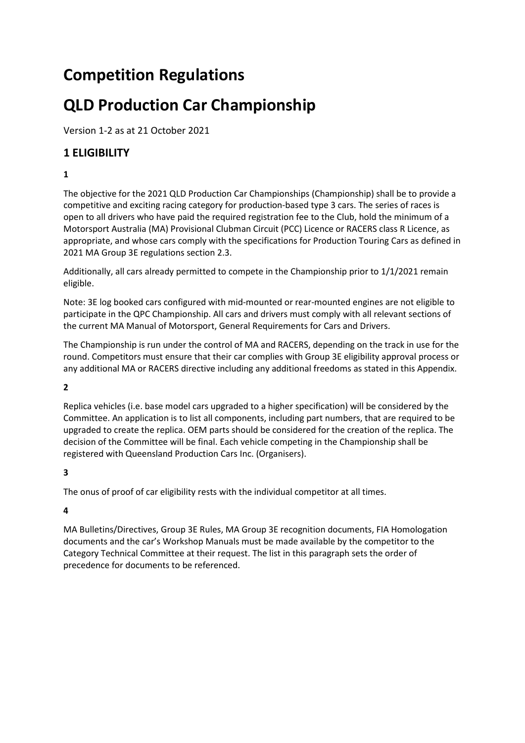# **Competition Regulations**

# **QLD Production Car Championship**

Version 1-2 as at 21 October 2021

# **1 ELIGIBILITY**

**1**

The objective for the 2021 QLD Production Car Championships (Championship) shall be to provide a competitive and exciting racing category for production-based type 3 cars. The series of races is open to all drivers who have paid the required registration fee to the Club, hold the minimum of a Motorsport Australia (MA) Provisional Clubman Circuit (PCC) Licence or RACERS class R Licence, as appropriate, and whose cars comply with the specifications for Production Touring Cars as defined in 2021 MA Group 3E regulations section 2.3.

Additionally, all cars already permitted to compete in the Championship prior to 1/1/2021 remain eligible.

Note: 3E log booked cars configured with mid-mounted or rear-mounted engines are not eligible to participate in the QPC Championship. All cars and drivers must comply with all relevant sections of the current MA Manual of Motorsport, General Requirements for Cars and Drivers.

The Championship is run under the control of MA and RACERS, depending on the track in use for the round. Competitors must ensure that their car complies with Group 3E eligibility approval process or any additional MA or RACERS directive including any additional freedoms as stated in this Appendix.

**2** 

Replica vehicles (i.e. base model cars upgraded to a higher specification) will be considered by the Committee. An application is to list all components, including part numbers, that are required to be upgraded to create the replica. OEM parts should be considered for the creation of the replica. The decision of the Committee will be final. Each vehicle competing in the Championship shall be registered with Queensland Production Cars Inc. (Organisers).

**3**

The onus of proof of car eligibility rests with the individual competitor at all times.

**4**

MA Bulletins/Directives, Group 3E Rules, MA Group 3E recognition documents, FIA Homologation documents and the car's Workshop Manuals must be made available by the competitor to the Category Technical Committee at their request. The list in this paragraph sets the order of precedence for documents to be referenced.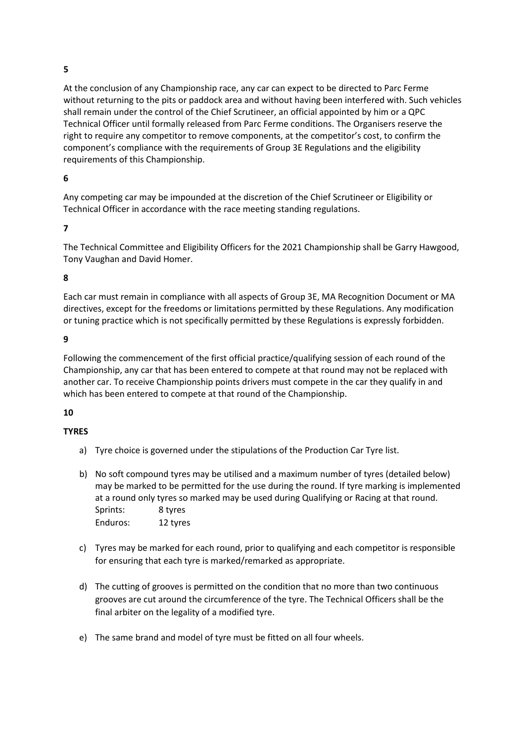## **5**

At the conclusion of any Championship race, any car can expect to be directed to Parc Ferme without returning to the pits or paddock area and without having been interfered with. Such vehicles shall remain under the control of the Chief Scrutineer, an official appointed by him or a QPC Technical Officer until formally released from Parc Ferme conditions. The Organisers reserve the right to require any competitor to remove components, at the competitor's cost, to confirm the component's compliance with the requirements of Group 3E Regulations and the eligibility requirements of this Championship.

#### **6**

Any competing car may be impounded at the discretion of the Chief Scrutineer or Eligibility or Technical Officer in accordance with the race meeting standing regulations.

#### **7**

The Technical Committee and Eligibility Officers for the 2021 Championship shall be Garry Hawgood, Tony Vaughan and David Homer.

#### **8**

Each car must remain in compliance with all aspects of Group 3E, MA Recognition Document or MA directives, except for the freedoms or limitations permitted by these Regulations. Any modification or tuning practice which is not specifically permitted by these Regulations is expressly forbidden.

#### **9**

Following the commencement of the first official practice/qualifying session of each round of the Championship, any car that has been entered to compete at that round may not be replaced with another car. To receive Championship points drivers must compete in the car they qualify in and which has been entered to compete at that round of the Championship.

#### **10**

#### **TYRES**

- a) Tyre choice is governed under the stipulations of the Production Car Tyre list.
- b) No soft compound tyres may be utilised and a maximum number of tyres (detailed below) may be marked to be permitted for the use during the round. If tyre marking is implemented at a round only tyres so marked may be used during Qualifying or Racing at that round. Sprints: 8 tyres Enduros: 12 tyres
- c) Tyres may be marked for each round, prior to qualifying and each competitor is responsible for ensuring that each tyre is marked/remarked as appropriate.
- d) The cutting of grooves is permitted on the condition that no more than two continuous grooves are cut around the circumference of the tyre. The Technical Officers shall be the final arbiter on the legality of a modified tyre.
- e) The same brand and model of tyre must be fitted on all four wheels.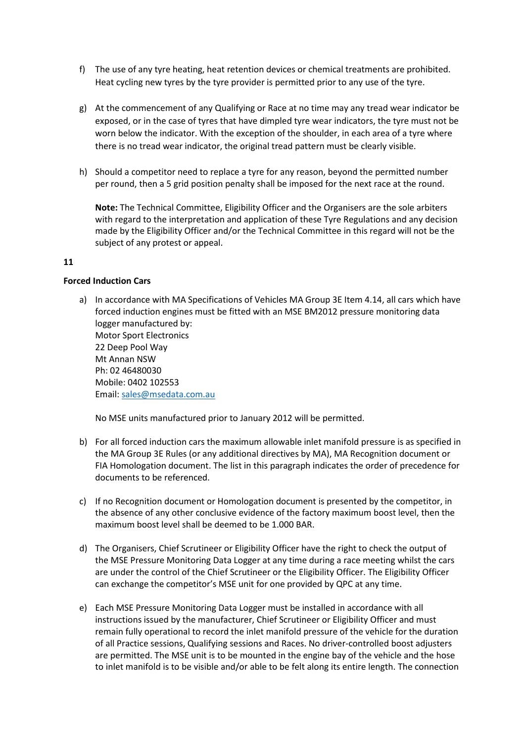- f) The use of any tyre heating, heat retention devices or chemical treatments are prohibited. Heat cycling new tyres by the tyre provider is permitted prior to any use of the tyre.
- g) At the commencement of any Qualifying or Race at no time may any tread wear indicator be exposed, or in the case of tyres that have dimpled tyre wear indicators, the tyre must not be worn below the indicator. With the exception of the shoulder, in each area of a tyre where there is no tread wear indicator, the original tread pattern must be clearly visible.
- h) Should a competitor need to replace a tyre for any reason, beyond the permitted number per round, then a 5 grid position penalty shall be imposed for the next race at the round.

**Note:** The Technical Committee, Eligibility Officer and the Organisers are the sole arbiters with regard to the interpretation and application of these Tyre Regulations and any decision made by the Eligibility Officer and/or the Technical Committee in this regard will not be the subject of any protest or appeal.

#### **11**

#### **Forced Induction Cars**

a) In accordance with MA Specifications of Vehicles MA Group 3E Item 4.14, all cars which have forced induction engines must be fitted with an MSE BM2012 pressure monitoring data logger manufactured by: Motor Sport Electronics 22 Deep Pool Way Mt Annan NSW Ph: 02 46480030 Mobile: 0402 102553 Email: [sales@msedata.com.au](mailto:sales@msedata.com.au)

No MSE units manufactured prior to January 2012 will be permitted.

- b) For all forced induction cars the maximum allowable inlet manifold pressure is as specified in the MA Group 3E Rules (or any additional directives by MA), MA Recognition document or FIA Homologation document. The list in this paragraph indicates the order of precedence for documents to be referenced.
- c) If no Recognition document or Homologation document is presented by the competitor, in the absence of any other conclusive evidence of the factory maximum boost level, then the maximum boost level shall be deemed to be 1.000 BAR.
- d) The Organisers, Chief Scrutineer or Eligibility Officer have the right to check the output of the MSE Pressure Monitoring Data Logger at any time during a race meeting whilst the cars are under the control of the Chief Scrutineer or the Eligibility Officer. The Eligibility Officer can exchange the competitor's MSE unit for one provided by QPC at any time.
- e) Each MSE Pressure Monitoring Data Logger must be installed in accordance with all instructions issued by the manufacturer, Chief Scrutineer or Eligibility Officer and must remain fully operational to record the inlet manifold pressure of the vehicle for the duration of all Practice sessions, Qualifying sessions and Races. No driver-controlled boost adjusters are permitted. The MSE unit is to be mounted in the engine bay of the vehicle and the hose to inlet manifold is to be visible and/or able to be felt along its entire length. The connection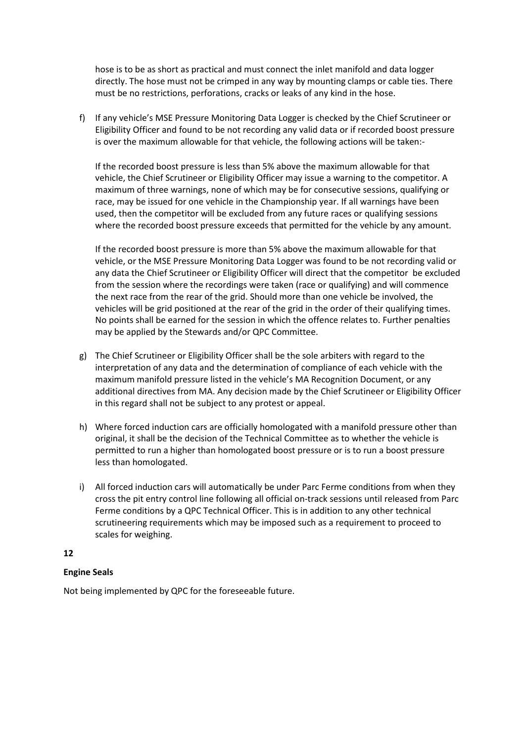hose is to be as short as practical and must connect the inlet manifold and data logger directly. The hose must not be crimped in any way by mounting clamps or cable ties. There must be no restrictions, perforations, cracks or leaks of any kind in the hose.

f) If any vehicle's MSE Pressure Monitoring Data Logger is checked by the Chief Scrutineer or Eligibility Officer and found to be not recording any valid data or if recorded boost pressure is over the maximum allowable for that vehicle, the following actions will be taken:-

If the recorded boost pressure is less than 5% above the maximum allowable for that vehicle, the Chief Scrutineer or Eligibility Officer may issue a warning to the competitor. A maximum of three warnings, none of which may be for consecutive sessions, qualifying or race, may be issued for one vehicle in the Championship year. If all warnings have been used, then the competitor will be excluded from any future races or qualifying sessions where the recorded boost pressure exceeds that permitted for the vehicle by any amount.

If the recorded boost pressure is more than 5% above the maximum allowable for that vehicle, or the MSE Pressure Monitoring Data Logger was found to be not recording valid or any data the Chief Scrutineer or Eligibility Officer will direct that the competitor be excluded from the session where the recordings were taken (race or qualifying) and will commence the next race from the rear of the grid. Should more than one vehicle be involved, the vehicles will be grid positioned at the rear of the grid in the order of their qualifying times. No points shall be earned for the session in which the offence relates to. Further penalties may be applied by the Stewards and/or QPC Committee.

- g) The Chief Scrutineer or Eligibility Officer shall be the sole arbiters with regard to the interpretation of any data and the determination of compliance of each vehicle with the maximum manifold pressure listed in the vehicle's MA Recognition Document, or any additional directives from MA. Any decision made by the Chief Scrutineer or Eligibility Officer in this regard shall not be subject to any protest or appeal.
- h) Where forced induction cars are officially homologated with a manifold pressure other than original, it shall be the decision of the Technical Committee as to whether the vehicle is permitted to run a higher than homologated boost pressure or is to run a boost pressure less than homologated.
- i) All forced induction cars will automatically be under Parc Ferme conditions from when they cross the pit entry control line following all official on-track sessions until released from Parc Ferme conditions by a QPC Technical Officer. This is in addition to any other technical scrutineering requirements which may be imposed such as a requirement to proceed to scales for weighing.

#### **12**

#### **Engine Seals**

Not being implemented by QPC for the foreseeable future.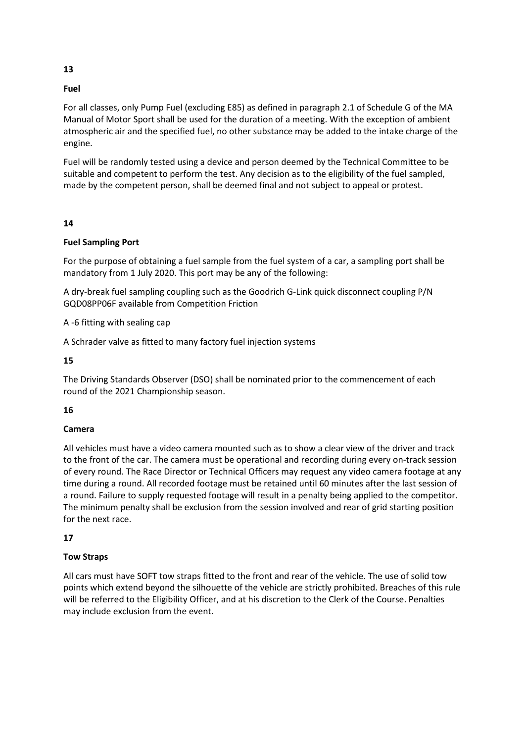#### **Fuel**

For all classes, only Pump Fuel (excluding E85) as defined in paragraph 2.1 of Schedule G of the MA Manual of Motor Sport shall be used for the duration of a meeting. With the exception of ambient atmospheric air and the specified fuel, no other substance may be added to the intake charge of the engine.

Fuel will be randomly tested using a device and person deemed by the Technical Committee to be suitable and competent to perform the test. Any decision as to the eligibility of the fuel sampled, made by the competent person, shall be deemed final and not subject to appeal or protest.

#### **14**

#### **Fuel Sampling Port**

For the purpose of obtaining a fuel sample from the fuel system of a car, a sampling port shall be mandatory from 1 July 2020. This port may be any of the following:

A dry-break fuel sampling coupling such as the Goodrich G-Link quick disconnect coupling P/N GQD08PP06F available from Competition Friction

A -6 fitting with sealing cap

A Schrader valve as fitted to many factory fuel injection systems

**15**

The Driving Standards Observer (DSO) shall be nominated prior to the commencement of each round of the 2021 Championship season.

#### **16**

#### **Camera**

All vehicles must have a video camera mounted such as to show a clear view of the driver and track to the front of the car. The camera must be operational and recording during every on-track session of every round. The Race Director or Technical Officers may request any video camera footage at any time during a round. All recorded footage must be retained until 60 minutes after the last session of a round. Failure to supply requested footage will result in a penalty being applied to the competitor. The minimum penalty shall be exclusion from the session involved and rear of grid starting position for the next race.

#### **17**

#### **Tow Straps**

All cars must have SOFT tow straps fitted to the front and rear of the vehicle. The use of solid tow points which extend beyond the silhouette of the vehicle are strictly prohibited. Breaches of this rule will be referred to the Eligibility Officer, and at his discretion to the Clerk of the Course. Penalties may include exclusion from the event.

**13**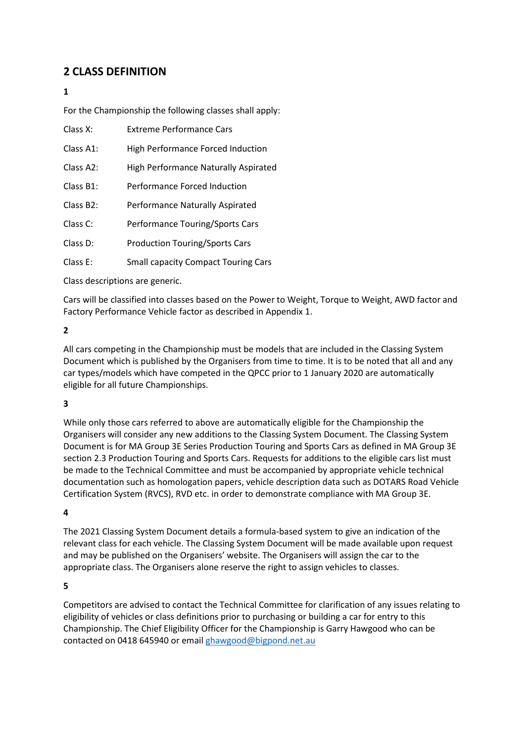# **2 CLASS DEFINITION**

### **1**

For the Championship the following classes shall apply:

- Class X: Extreme Performance Cars
- Class A1: High Performance Forced Induction
- Class A2: High Performance Naturally Aspirated
- Class B1: Performance Forced Induction
- Class B2: Performance Naturally Aspirated
- Class C: Performance Touring/Sports Cars
- Class D: Production Touring/Sports Cars
- Class E: Small capacity Compact Touring Cars

Class descriptions are generic.

Cars will be classified into classes based on the Power to Weight, Torque to Weight, AWD factor and Factory Performance Vehicle factor as described in Appendix 1.

#### **2**

All cars competing in the Championship must be models that are included in the Classing System Document which is published by the Organisers from time to time. It is to be noted that all and any car types/models which have competed in the QPCC prior to 1 January 2020 are automatically eligible for all future Championships.

#### **3**

While only those cars referred to above are automatically eligible for the Championship the Organisers will consider any new additions to the Classing System Document. The Classing System Document is for MA Group 3E Series Production Touring and Sports Cars as defined in MA Group 3E section 2.3 Production Touring and Sports Cars. Requests for additions to the eligible cars list must be made to the Technical Committee and must be accompanied by appropriate vehicle technical documentation such as homologation papers, vehicle description data such as DOTARS Road Vehicle Certification System (RVCS), RVD etc. in order to demonstrate compliance with MA Group 3E.

#### **4**

The 2021 Classing System Document details a formula-based system to give an indication of the relevant class for each vehicle. The Classing System Document will be made available upon request and may be published on the Organisers' website. The Organisers will assign the car to the appropriate class. The Organisers alone reserve the right to assign vehicles to classes.

#### **5**

Competitors are advised to contact the Technical Committee for clarification of any issues relating to eligibility of vehicles or class definitions prior to purchasing or building a car for entry to this Championship. The Chief Eligibility Officer for the Championship is Garry Hawgood who can be contacted on 0418 645940 or email [ghawgood@bigpond.net.au](mailto:ghawgood@bigpond.net.au)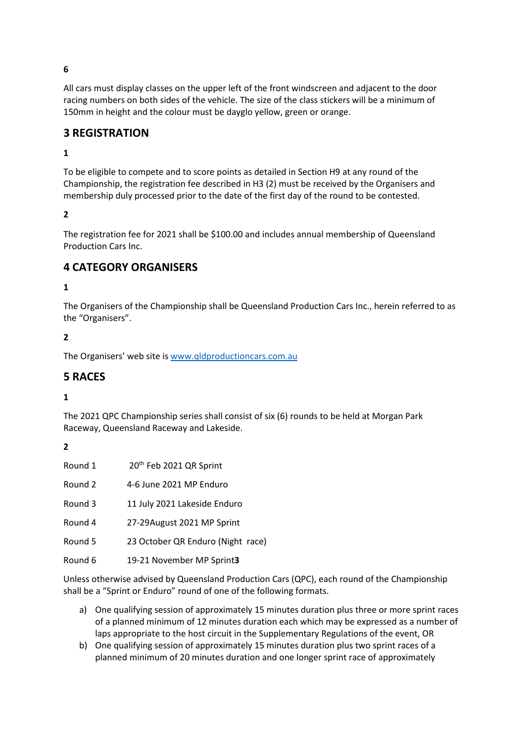All cars must display classes on the upper left of the front windscreen and adjacent to the door racing numbers on both sides of the vehicle. The size of the class stickers will be a minimum of 150mm in height and the colour must be dayglo yellow, green or orange.

# **3 REGISTRATION**

#### **1**

To be eligible to compete and to score points as detailed in Section H9 at any round of the Championship, the registration fee described in H3 (2) must be received by the Organisers and membership duly processed prior to the date of the first day of the round to be contested.

## **2**

The registration fee for 2021 shall be \$100.00 and includes annual membership of Queensland Production Cars Inc.

## **4 CATEGORY ORGANISERS**

#### **1**

The Organisers of the Championship shall be Queensland Production Cars Inc., herein referred to as the "Organisers".

#### **2**

The Organisers' web site i[s www.qldproductioncars.com.au](http://www.qldproductioncars.com.au/)

## **5 RACES**

#### **1**

The 2021 QPC Championship series shall consist of six (6) rounds to be held at Morgan Park Raceway, Queensland Raceway and Lakeside.

#### **2**

| Round 1 | 20 <sup>th</sup> Feb 2021 QR Sprint |
|---------|-------------------------------------|
| Round 2 | 4-6 June 2021 MP Enduro             |
| Round 3 | 11 July 2021 Lakeside Enduro        |
| Round 4 | 27-29August 2021 MP Sprint          |
| Round 5 | 23 October QR Enduro (Night race)   |
| Round 6 | 19-21 November MP Sprint3           |

Unless otherwise advised by Queensland Production Cars (QPC), each round of the Championship shall be a "Sprint or Enduro" round of one of the following formats.

- a) One qualifying session of approximately 15 minutes duration plus three or more sprint races of a planned minimum of 12 minutes duration each which may be expressed as a number of laps appropriate to the host circuit in the Supplementary Regulations of the event, OR
- b) One qualifying session of approximately 15 minutes duration plus two sprint races of a planned minimum of 20 minutes duration and one longer sprint race of approximately

**6**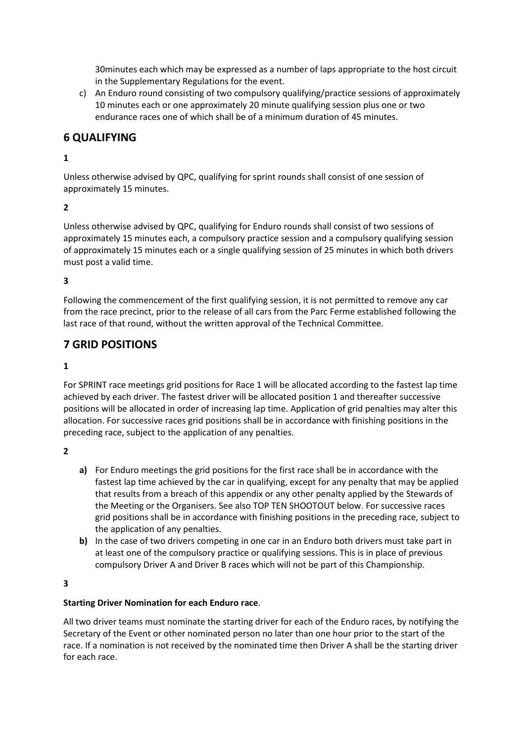30minutes each which may be expressed as a number of laps appropriate to the host circuit in the Supplementary Regulations for the event.

c) An Enduro round consisting of two compulsory qualifying/practice sessions of approximately 10 minutes each or one approximately 20 minute qualifying session plus one or two endurance races one of which shall be of a minimum duration of 45 minutes.

# **6 QUALIFYING**

#### **1**

Unless otherwise advised by QPC, qualifying for sprint rounds shall consist of one session of approximately 15 minutes.

#### **2**

Unless otherwise advised by QPC, qualifying for Enduro rounds shall consist of two sessions of approximately 15 minutes each, a compulsory practice session and a compulsory qualifying session of approximately 15 minutes each or a single qualifying session of 25 minutes in which both drivers must post a valid time.

#### **3**

Following the commencement of the first qualifying session, it is not permitted to remove any car from the race precinct, prior to the release of all cars from the Parc Ferme established following the last race of that round, without the written approval of the Technical Committee.

# **7 GRID POSITIONS**

#### **1**

For SPRINT race meetings grid positions for Race 1 will be allocated according to the fastest lap time achieved by each driver. The fastest driver will be allocated position 1 and thereafter successive positions will be allocated in order of increasing lap time. Application of grid penalties may alter this allocation. For successive races grid positions shall be in accordance with finishing positions in the preceding race, subject to the application of any penalties.

#### **2**

- **a)** For Enduro meetings the grid positions for the first race shall be in accordance with the fastest lap time achieved by the car in qualifying, except for any penalty that may be applied that results from a breach of this appendix or any other penalty applied by the Stewards of the Meeting or the Organisers. See also TOP TEN SHOOTOUT below. For successive races grid positions shall be in accordance with finishing positions in the preceding race, subject to the application of any penalties.
- **b)** In the case of two drivers competing in one car in an Enduro both drivers must take part in at least one of the compulsory practice or qualifying sessions. This is in place of previous compulsory Driver A and Driver B races which will not be part of this Championship.

#### **3**

#### **Starting Driver Nomination for each Enduro race**.

All two driver teams must nominate the starting driver for each of the Enduro races, by notifying the Secretary of the Event or other nominated person no later than one hour prior to the start of the race. If a nomination is not received by the nominated time then Driver A shall be the starting driver for each race.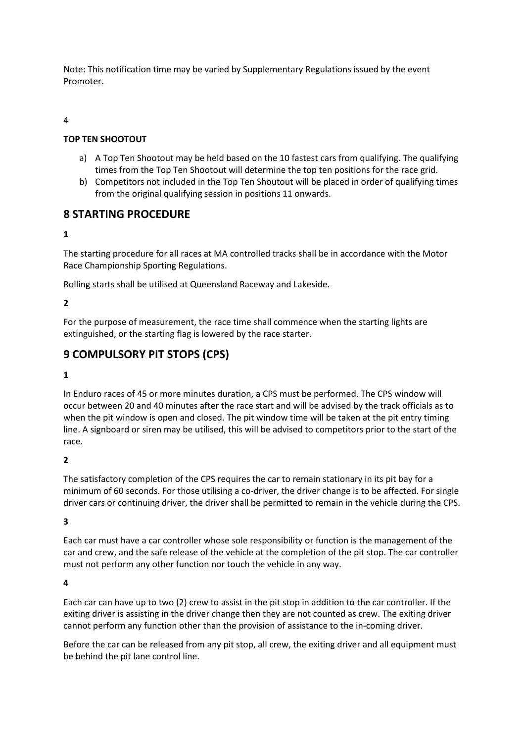Note: This notification time may be varied by Supplementary Regulations issued by the event Promoter.

#### 4

#### **TOP TEN SHOOTOUT**

- a) A Top Ten Shootout may be held based on the 10 fastest cars from qualifying. The qualifying times from the Top Ten Shootout will determine the top ten positions for the race grid.
- b) Competitors not included in the Top Ten Shoutout will be placed in order of qualifying times from the original qualifying session in positions 11 onwards.

## **8 STARTING PROCEDURE**

#### **1**

The starting procedure for all races at MA controlled tracks shall be in accordance with the Motor Race Championship Sporting Regulations.

Rolling starts shall be utilised at Queensland Raceway and Lakeside.

#### **2**

For the purpose of measurement, the race time shall commence when the starting lights are extinguished, or the starting flag is lowered by the race starter.

# **9 COMPULSORY PIT STOPS (CPS)**

#### **1**

In Enduro races of 45 or more minutes duration, a CPS must be performed. The CPS window will occur between 20 and 40 minutes after the race start and will be advised by the track officials as to when the pit window is open and closed. The pit window time will be taken at the pit entry timing line. A signboard or siren may be utilised, this will be advised to competitors prior to the start of the race.

#### **2**

The satisfactory completion of the CPS requires the car to remain stationary in its pit bay for a minimum of 60 seconds. For those utilising a co-driver, the driver change is to be affected. For single driver cars or continuing driver, the driver shall be permitted to remain in the vehicle during the CPS.

#### **3**

Each car must have a car controller whose sole responsibility or function is the management of the car and crew, and the safe release of the vehicle at the completion of the pit stop. The car controller must not perform any other function nor touch the vehicle in any way.

#### **4**

Each car can have up to two (2) crew to assist in the pit stop in addition to the car controller. If the exiting driver is assisting in the driver change then they are not counted as crew. The exiting driver cannot perform any function other than the provision of assistance to the in-coming driver.

Before the car can be released from any pit stop, all crew, the exiting driver and all equipment must be behind the pit lane control line.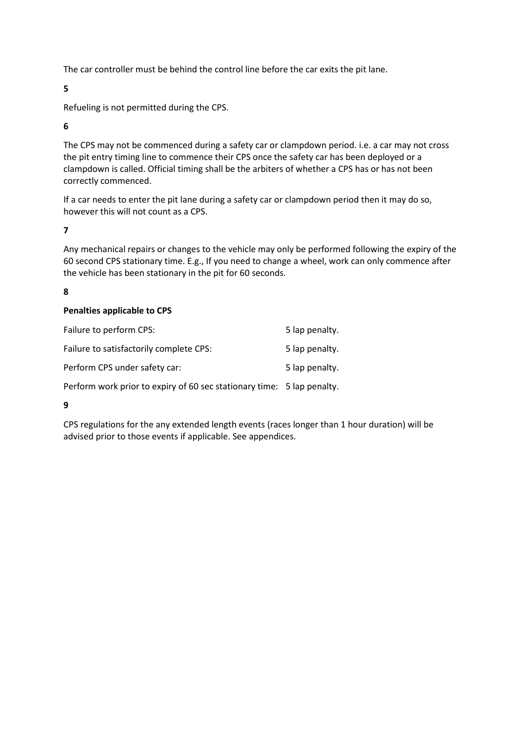The car controller must be behind the control line before the car exits the pit lane.

**5**

Refueling is not permitted during the CPS.

**6**

The CPS may not be commenced during a safety car or clampdown period. i.e. a car may not cross the pit entry timing line to commence their CPS once the safety car has been deployed or a clampdown is called. Official timing shall be the arbiters of whether a CPS has or has not been correctly commenced.

If a car needs to enter the pit lane during a safety car or clampdown period then it may do so, however this will not count as a CPS.

**7**

Any mechanical repairs or changes to the vehicle may only be performed following the expiry of the 60 second CPS stationary time. E.g., If you need to change a wheel, work can only commence after the vehicle has been stationary in the pit for 60 seconds.

#### **8**

#### **Penalties applicable to CPS**

| Failure to perform CPS:                 | 5 lap penalty. |
|-----------------------------------------|----------------|
| Failure to satisfactorily complete CPS: | 5 lap penalty. |
| Perform CPS under safety car:           | 5 lap penalty. |
|                                         |                |

Perform work prior to expiry of 60 sec stationary time: 5 lap penalty.

#### **9**

CPS regulations for the any extended length events (races longer than 1 hour duration) will be advised prior to those events if applicable. See appendices.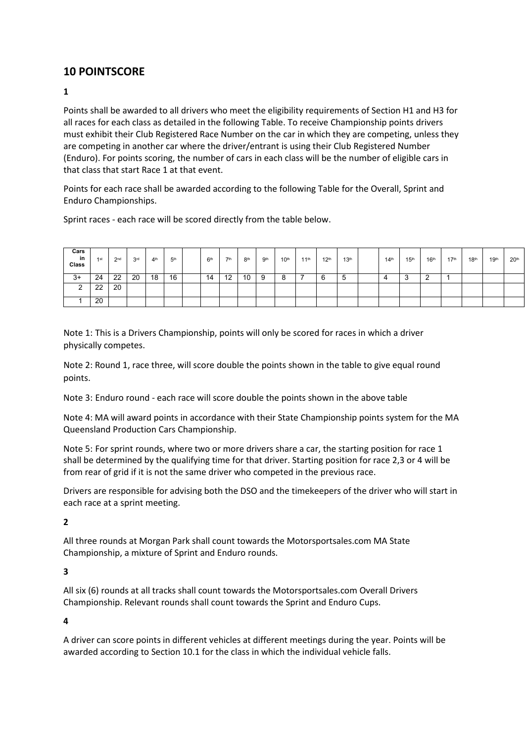# **10 POINTSCORE**

#### **1**

Points shall be awarded to all drivers who meet the eligibility requirements of Section H1 and H3 for all races for each class as detailed in the following Table. To receive Championship points drivers must exhibit their Club Registered Race Number on the car in which they are competing, unless they are competing in another car where the driver/entrant is using their Club Registered Number (Enduro). For points scoring, the number of cars in each class will be the number of eligible cars in that class that start Race 1 at that event.

Points for each race shall be awarded according to the following Table for the Overall, Sprint and Enduro Championships.

Sprint races - each race will be scored directly from the table below.

| Cars<br>in<br>Class | 1st      | 2nd | 3 <sup>rd</sup> | 4 <sup>th</sup> | 5 <sup>th</sup> | 6 <sup>th</sup> | <b>7th</b> | 8 <sup>th</sup> | . gth | 10 <sup>th</sup> | $11^{\text{th}}$ | 12 <sup>th</sup> | 13 <sup>th</sup> | 14 <sup>th</sup> | 15 <sup>th</sup> | 16 <sup>th</sup> | $17^{\rm th}$ | 18 <sup>th</sup> | 19 <sup>th</sup> | 20 <sup>th</sup> |
|---------------------|----------|-----|-----------------|-----------------|-----------------|-----------------|------------|-----------------|-------|------------------|------------------|------------------|------------------|------------------|------------------|------------------|---------------|------------------|------------------|------------------|
| $3+$                | 24       | 22  | 20              | 18              | 16              | 14              | 12         | 10              | 9     |                  |                  | 6                | .ხ               | 4                | ◠<br>ູບ          | ົ<br>∸           |               |                  |                  |                  |
| $\sim$              | າາ<br>∠∠ | 20  |                 |                 |                 |                 |            |                 |       |                  |                  |                  |                  |                  |                  |                  |               |                  |                  |                  |
|                     | 20       |     |                 |                 |                 |                 |            |                 |       |                  |                  |                  |                  |                  |                  |                  |               |                  |                  |                  |

Note 1: This is a Drivers Championship, points will only be scored for races in which a driver physically competes.

Note 2: Round 1, race three, will score double the points shown in the table to give equal round points.

Note 3: Enduro round - each race will score double the points shown in the above table

Note 4: MA will award points in accordance with their State Championship points system for the MA Queensland Production Cars Championship.

Note 5: For sprint rounds, where two or more drivers share a car, the starting position for race 1 shall be determined by the qualifying time for that driver. Starting position for race 2,3 or 4 will be from rear of grid if it is not the same driver who competed in the previous race.

Drivers are responsible for advising both the DSO and the timekeepers of the driver who will start in each race at a sprint meeting.

**2**

All three rounds at Morgan Park shall count towards the Motorsportsales.com MA State Championship, a mixture of Sprint and Enduro rounds.

#### **3**

All six (6) rounds at all tracks shall count towards the Motorsportsales.com Overall Drivers Championship. Relevant rounds shall count towards the Sprint and Enduro Cups.

**4**

A driver can score points in different vehicles at different meetings during the year. Points will be awarded according to Section 10.1 for the class in which the individual vehicle falls.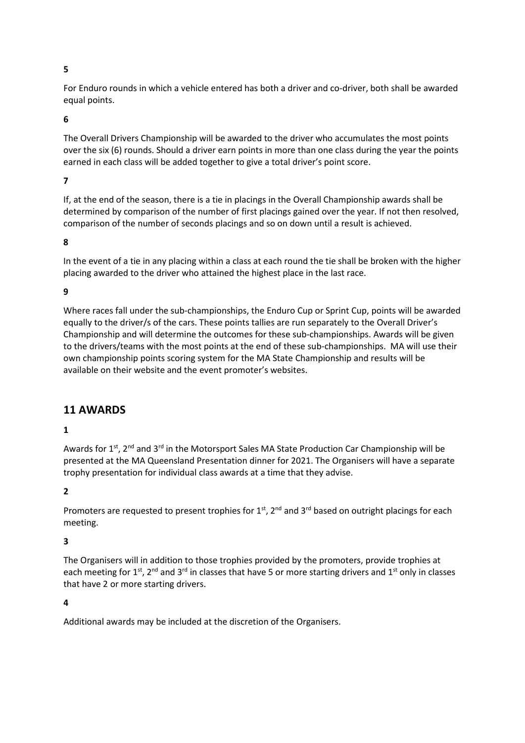#### **5**

For Enduro rounds in which a vehicle entered has both a driver and co-driver, both shall be awarded equal points.

#### **6**

The Overall Drivers Championship will be awarded to the driver who accumulates the most points over the six (6) rounds. Should a driver earn points in more than one class during the year the points earned in each class will be added together to give a total driver's point score.

#### **7**

If, at the end of the season, there is a tie in placings in the Overall Championship awards shall be determined by comparison of the number of first placings gained over the year. If not then resolved, comparison of the number of seconds placings and so on down until a result is achieved.

#### **8**

In the event of a tie in any placing within a class at each round the tie shall be broken with the higher placing awarded to the driver who attained the highest place in the last race.

#### **9**

Where races fall under the sub-championships, the Enduro Cup or Sprint Cup, points will be awarded equally to the driver/s of the cars. These points tallies are run separately to the Overall Driver's Championship and will determine the outcomes for these sub-championships. Awards will be given to the drivers/teams with the most points at the end of these sub-championships. MA will use their own championship points scoring system for the MA State Championship and results will be available on their website and the event promoter's websites.

#### **11 AWARDS**

#### **1**

Awards for  $1^{st}$ ,  $2^{nd}$  and  $3^{rd}$  in the Motorsport Sales MA State Production Car Championship will be presented at the MA Queensland Presentation dinner for 2021. The Organisers will have a separate trophy presentation for individual class awards at a time that they advise.

#### **2**

Promoters are requested to present trophies for  $1<sup>st</sup>$ ,  $2<sup>nd</sup>$  and  $3<sup>rd</sup>$  based on outright placings for each meeting.

#### **3**

The Organisers will in addition to those trophies provided by the promoters, provide trophies at each meeting for 1<sup>st</sup>, 2<sup>nd</sup> and 3<sup>rd</sup> in classes that have 5 or more starting drivers and 1<sup>st</sup> only in classes that have 2 or more starting drivers.

#### **4**

Additional awards may be included at the discretion of the Organisers.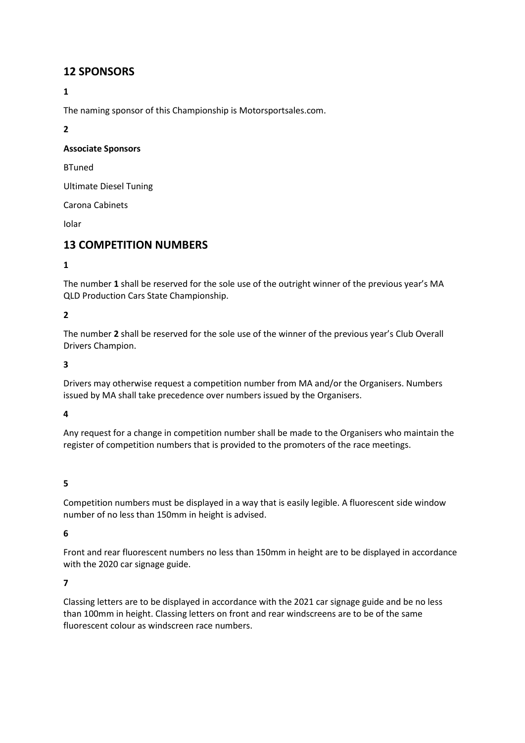## **12 SPONSORS**

## **1**

The naming sponsor of this Championship is Motorsportsales.com.

**2**

#### **Associate Sponsors**

BTuned

Ultimate Diesel Tuning

Carona Cabinets

Iolar

# **13 COMPETITION NUMBERS**

## **1**

The number **1** shall be reserved for the sole use of the outright winner of the previous year's MA QLD Production Cars State Championship.

## **2**

The number **2** shall be reserved for the sole use of the winner of the previous year's Club Overall Drivers Champion.

**3**

Drivers may otherwise request a competition number from MA and/or the Organisers. Numbers issued by MA shall take precedence over numbers issued by the Organisers.

**4**

Any request for a change in competition number shall be made to the Organisers who maintain the register of competition numbers that is provided to the promoters of the race meetings.

#### **5**

Competition numbers must be displayed in a way that is easily legible. A fluorescent side window number of no less than 150mm in height is advised.

#### **6**

Front and rear fluorescent numbers no less than 150mm in height are to be displayed in accordance with the 2020 car signage guide.

#### **7**

Classing letters are to be displayed in accordance with the 2021 car signage guide and be no less than 100mm in height. Classing letters on front and rear windscreens are to be of the same fluorescent colour as windscreen race numbers.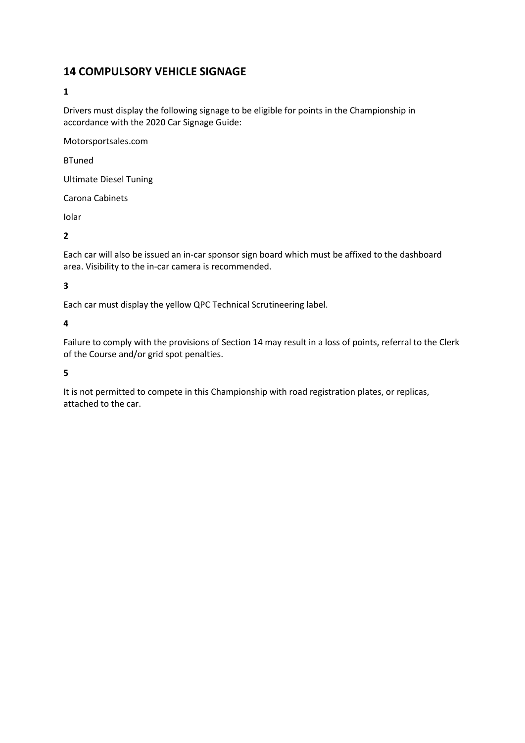# **14 COMPULSORY VEHICLE SIGNAGE**

## **1**

Drivers must display the following signage to be eligible for points in the Championship in accordance with the 2020 Car Signage Guide:

Motorsportsales.com

BTuned

Ultimate Diesel Tuning

Carona Cabinets

Iolar

**2**

Each car will also be issued an in-car sponsor sign board which must be affixed to the dashboard area. Visibility to the in-car camera is recommended.

## **3**

Each car must display the yellow QPC Technical Scrutineering label.

**4**

Failure to comply with the provisions of Section 14 may result in a loss of points, referral to the Clerk of the Course and/or grid spot penalties.

#### **5**

It is not permitted to compete in this Championship with road registration plates, or replicas, attached to the car.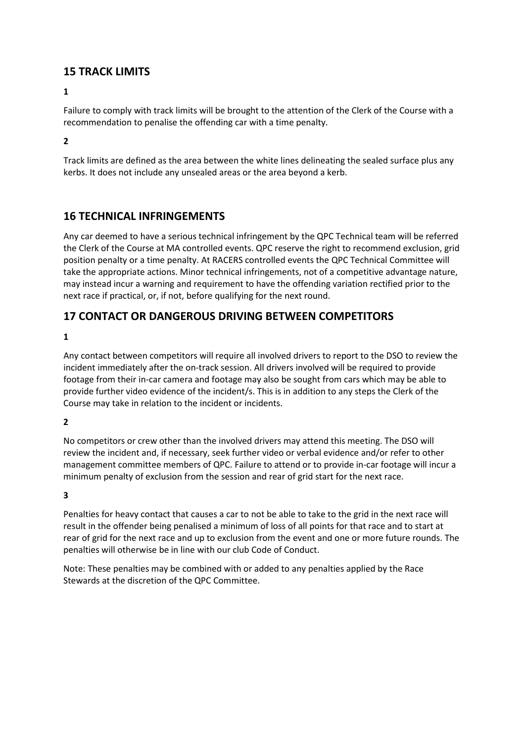# **15 TRACK LIMITS**

Failure to comply with track limits will be brought to the attention of the Clerk of the Course with a recommendation to penalise the offending car with a time penalty.

**2**

Track limits are defined as the area between the white lines delineating the sealed surface plus any kerbs. It does not include any unsealed areas or the area beyond a kerb.

# **16 TECHNICAL INFRINGEMENTS**

Any car deemed to have a serious technical infringement by the QPC Technical team will be referred the Clerk of the Course at MA controlled events. QPC reserve the right to recommend exclusion, grid position penalty or a time penalty. At RACERS controlled events the QPC Technical Committee will take the appropriate actions. Minor technical infringements, not of a competitive advantage nature, may instead incur a warning and requirement to have the offending variation rectified prior to the next race if practical, or, if not, before qualifying for the next round.

# **17 CONTACT OR DANGEROUS DRIVING BETWEEN COMPETITORS**

## **1**

Any contact between competitors will require all involved drivers to report to the DSO to review the incident immediately after the on-track session. All drivers involved will be required to provide footage from their in-car camera and footage may also be sought from cars which may be able to provide further video evidence of the incident/s. This is in addition to any steps the Clerk of the Course may take in relation to the incident or incidents.

## **2**

No competitors or crew other than the involved drivers may attend this meeting. The DSO will review the incident and, if necessary, seek further video or verbal evidence and/or refer to other management committee members of QPC. Failure to attend or to provide in-car footage will incur a minimum penalty of exclusion from the session and rear of grid start for the next race.

#### **3**

Penalties for heavy contact that causes a car to not be able to take to the grid in the next race will result in the offender being penalised a minimum of loss of all points for that race and to start at rear of grid for the next race and up to exclusion from the event and one or more future rounds. The penalties will otherwise be in line with our club Code of Conduct.

Note: These penalties may be combined with or added to any penalties applied by the Race Stewards at the discretion of the QPC Committee.

**<sup>1</sup>**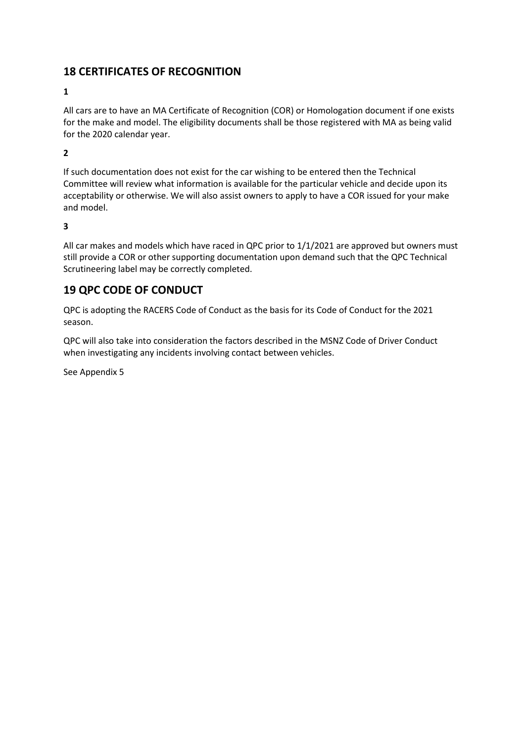# **18 CERTIFICATES OF RECOGNITION**

## **1**

All cars are to have an MA Certificate of Recognition (COR) or Homologation document if one exists for the make and model. The eligibility documents shall be those registered with MA as being valid for the 2020 calendar year.

**2**

If such documentation does not exist for the car wishing to be entered then the Technical Committee will review what information is available for the particular vehicle and decide upon its acceptability or otherwise. We will also assist owners to apply to have a COR issued for your make and model.

#### **3**

All car makes and models which have raced in QPC prior to 1/1/2021 are approved but owners must still provide a COR or other supporting documentation upon demand such that the QPC Technical Scrutineering label may be correctly completed.

# **19 QPC CODE OF CONDUCT**

QPC is adopting the RACERS Code of Conduct as the basis for its Code of Conduct for the 2021 season.

QPC will also take into consideration the factors described in the MSNZ Code of Driver Conduct when investigating any incidents involving contact between vehicles.

See Appendix 5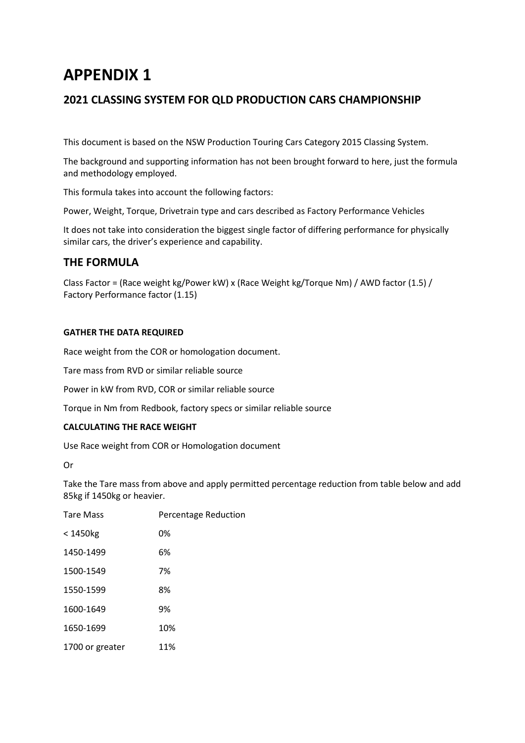# **2021 CLASSING SYSTEM FOR QLD PRODUCTION CARS CHAMPIONSHIP**

This document is based on the NSW Production Touring Cars Category 2015 Classing System.

The background and supporting information has not been brought forward to here, just the formula and methodology employed.

This formula takes into account the following factors:

Power, Weight, Torque, Drivetrain type and cars described as Factory Performance Vehicles

It does not take into consideration the biggest single factor of differing performance for physically similar cars, the driver's experience and capability.

# **THE FORMULA**

Class Factor = (Race weight kg/Power kW) x (Race Weight kg/Torque Nm) / AWD factor (1.5) / Factory Performance factor (1.15)

#### **GATHER THE DATA REQUIRED**

Race weight from the COR or homologation document.

Tare mass from RVD or similar reliable source

Power in kW from RVD, COR or similar reliable source

Torque in Nm from Redbook, factory specs or similar reliable source

#### **CALCULATING THE RACE WEIGHT**

Use Race weight from COR or Homologation document

Or

Take the Tare mass from above and apply permitted percentage reduction from table below and add 85kg if 1450kg or heavier.

| <b>Tare Mass</b> | <b>Percentage Reduction</b> |
|------------------|-----------------------------|
| $<$ 1450 $kg$    | 0%                          |
| 1450-1499        | 6%                          |
| 1500-1549        | 7%                          |
| 1550-1599        | 8%                          |
| 1600-1649        | 9%                          |
| 1650-1699        | 10%                         |
| 1700 or greater  | 11%                         |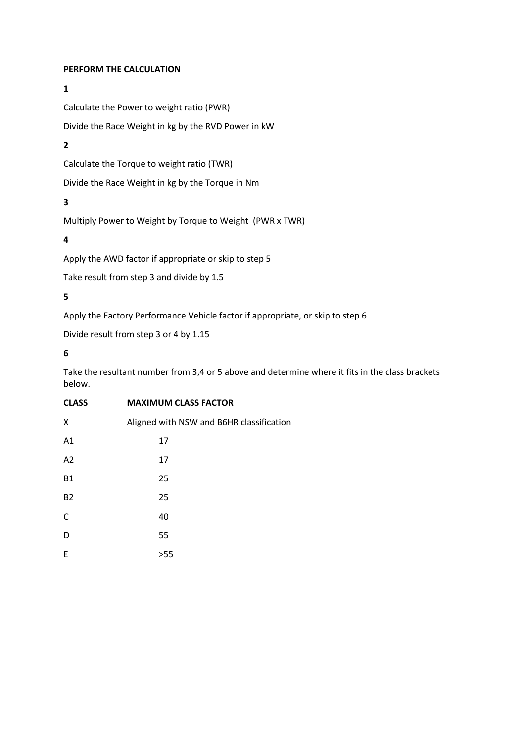#### **PERFORM THE CALCULATION**

#### **1**

Calculate the Power to weight ratio (PWR)

Divide the Race Weight in kg by the RVD Power in kW

## **2**

Calculate the Torque to weight ratio (TWR)

Divide the Race Weight in kg by the Torque in Nm

## **3**

Multiply Power to Weight by Torque to Weight (PWR x TWR)

#### **4**

Apply the AWD factor if appropriate or skip to step 5

Take result from step 3 and divide by 1.5

## **5**

Apply the Factory Performance Vehicle factor if appropriate, or skip to step 6

Divide result from step 3 or 4 by 1.15

#### **6**

Take the resultant number from 3,4 or 5 above and determine where it fits in the class brackets below.

# **CLASS MAXIMUM CLASS FACTOR**

| Χ         | Aligned with NSW and B6HR classification |  |
|-----------|------------------------------------------|--|
| A1        | 17                                       |  |
| A2        | 17                                       |  |
| <b>B1</b> | 25                                       |  |
| <b>B2</b> | 25                                       |  |
| C         | 40                                       |  |
| D         | 55                                       |  |
| E         | >55                                      |  |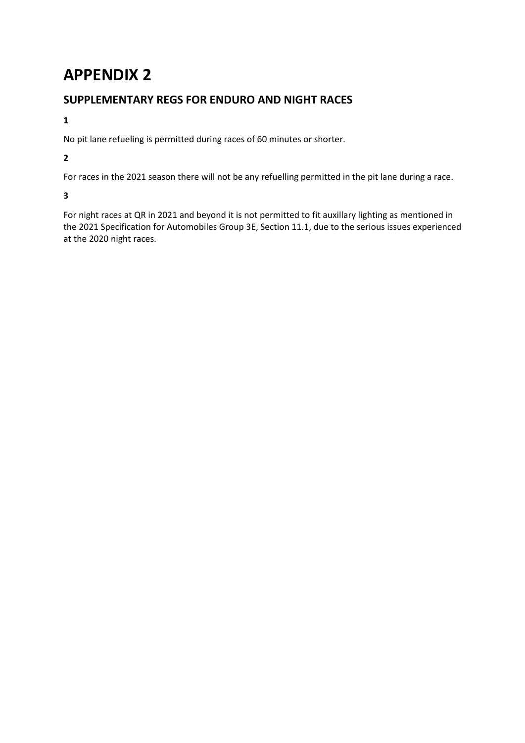# **SUPPLEMENTARY REGS FOR ENDURO AND NIGHT RACES**

## **1**

No pit lane refueling is permitted during races of 60 minutes or shorter.

## **2**

For races in the 2021 season there will not be any refuelling permitted in the pit lane during a race.

## **3**

For night races at QR in 2021 and beyond it is not permitted to fit auxillary lighting as mentioned in the 2021 Specification for Automobiles Group 3E, Section 11.1, due to the serious issues experienced at the 2020 night races.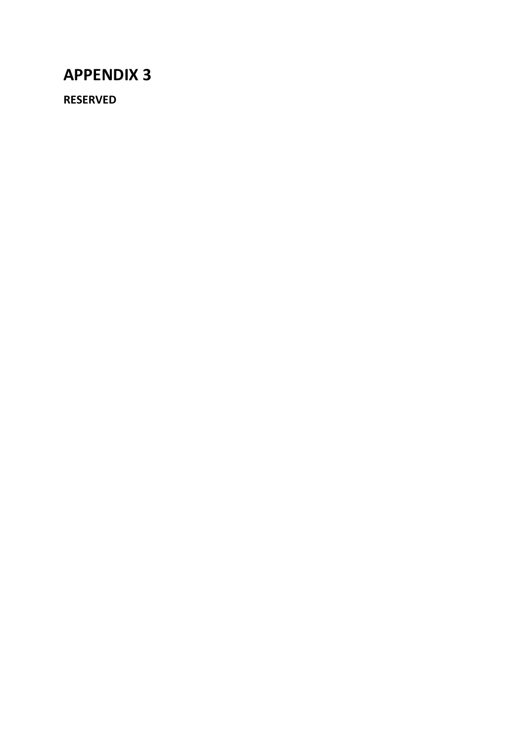**RESERVED**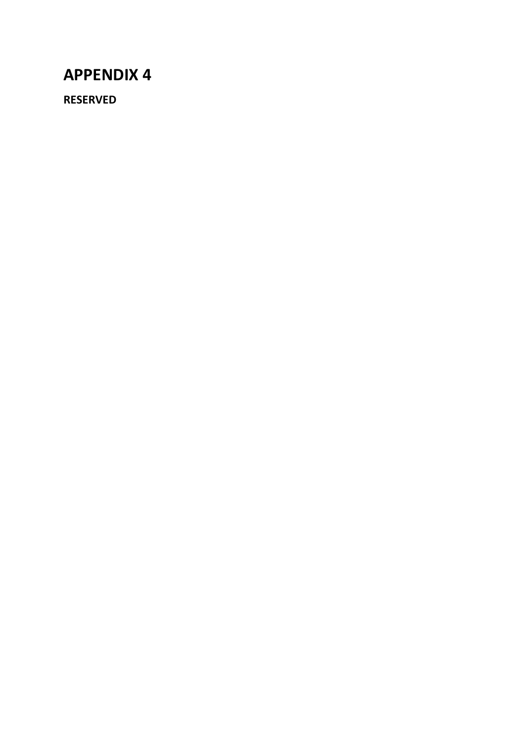**RESERVED**